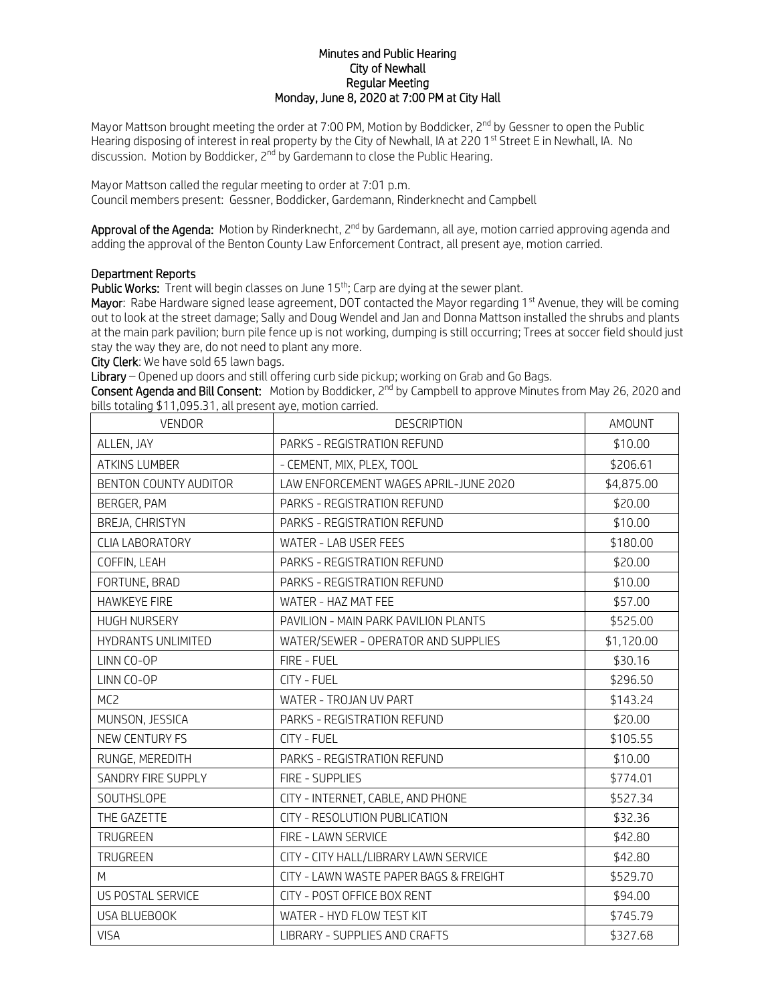## Minutes and Public Hearing City of Newhall Regular Meeting Monday, June 8, 2020 at 7:00 PM at City Hall

Mayor Mattson brought meeting the order at 7:00 PM, Motion by Boddicker, 2<sup>nd</sup> by Gessner to open the Public Hearing disposing of interest in real property by the City of Newhall, IA at 220 1<sup>st</sup> Street E in Newhall, IA. No discussion. Motion by Boddicker,  $2^{nd}$  by Gardemann to close the Public Hearing.

Mayor Mattson called the regular meeting to order at 7:01 p.m. Council members present: Gessner, Boddicker, Gardemann, Rinderknecht and Campbell

Approval of the Agenda: Motion by Rinderknecht, 2<sup>nd</sup> by Gardemann, all aye, motion carried approving agenda and adding the approval of the Benton County Law Enforcement Contract, all present aye, motion carried.

## Department Reports

Public Works: Trent will begin classes on June 15<sup>th</sup>; Carp are dying at the sewer plant.

Mayor: Rabe Hardware signed lease agreement, DOT contacted the Mayor regarding 1st Avenue, they will be coming out to look at the street damage; Sally and Doug Wendel and Jan and Donna Mattson installed the shrubs and plants at the main park pavilion; burn pile fence up is not working, dumping is still occurring; Trees at soccer field should just stay the way they are, do not need to plant any more.

City Clerk: We have sold 65 lawn bags.

Library – Opened up doors and still offering curb side pickup; working on Grab and Go Bags.

Consent Agenda and Bill Consent: Motion by Boddicker, 2<sup>nd</sup> by Campbell to approve Minutes from May 26, 2020 and bills totaling \$11,095.31, all present aye, motion carried.

| <b>VENDOR</b>             | <b>DESCRIPTION</b>                     | AMOUNT     |
|---------------------------|----------------------------------------|------------|
| ALLEN, JAY                | PARKS - REGISTRATION REFUND            | \$10.00    |
| <b>ATKINS LUMBER</b>      | - CEMENT, MIX, PLEX, TOOL              | \$206.61   |
| BENTON COUNTY AUDITOR     | LAW ENFORCEMENT WAGES APRIL-JUNE 2020  | \$4,875.00 |
| BERGER, PAM               | PARKS - REGISTRATION REFUND            | \$20.00    |
| BREJA, CHRISTYN           | PARKS - REGISTRATION REFUND            | \$10.00    |
| <b>CLIA LABORATORY</b>    | WATER - LAB USER FEES                  | \$180.00   |
| COFFIN, LEAH              | PARKS - REGISTRATION REFUND            | \$20.00    |
| FORTUNE, BRAD             | PARKS - REGISTRATION REFUND            | \$10.00    |
| <b>HAWKEYE FIRE</b>       | WATER - HAZ MAT FEE                    | \$57.00    |
| <b>HUGH NURSERY</b>       | PAVILION - MAIN PARK PAVILION PLANTS   | \$525.00   |
| <b>HYDRANTS UNLIMITED</b> | WATER/SEWER - OPERATOR AND SUPPLIES    | \$1,120.00 |
| LINN CO-OP                | FIRE - FUEL                            | \$30.16    |
| LINN CO-OP                | CITY - FUEL                            | \$296.50   |
| MC <sub>2</sub>           | WATER - TROJAN UV PART                 | \$143.24   |
| MUNSON, JESSICA           | PARKS - REGISTRATION REFUND            | \$20.00    |
| NEW CENTURY FS            | CITY - FUEL                            | \$105.55   |
| RUNGE, MEREDITH           | PARKS - REGISTRATION REFUND            | \$10.00    |
| SANDRY FIRE SUPPLY        | FIRE - SUPPLIES                        | \$774.01   |
| <b>SOUTHSLOPE</b>         | CITY - INTERNET, CABLE, AND PHONE      | \$527.34   |
| THE GAZETTE               | CITY - RESOLUTION PUBLICATION          | \$32.36    |
| TRUGREEN                  | FIRE - LAWN SERVICE                    | \$42.80    |
| TRUGREEN                  | CITY - CITY HALL/LIBRARY LAWN SERVICE  | \$42.80    |
| M                         | CITY - LAWN WASTE PAPER BAGS & FREIGHT | \$529.70   |
| US POSTAL SERVICE         | CITY - POST OFFICE BOX RENT            | \$94.00    |
| USA BLUEBOOK              | WATER - HYD FLOW TEST KIT              | \$745.79   |
| <b>VISA</b>               | LIBRARY - SUPPLIES AND CRAFTS          | \$327.68   |